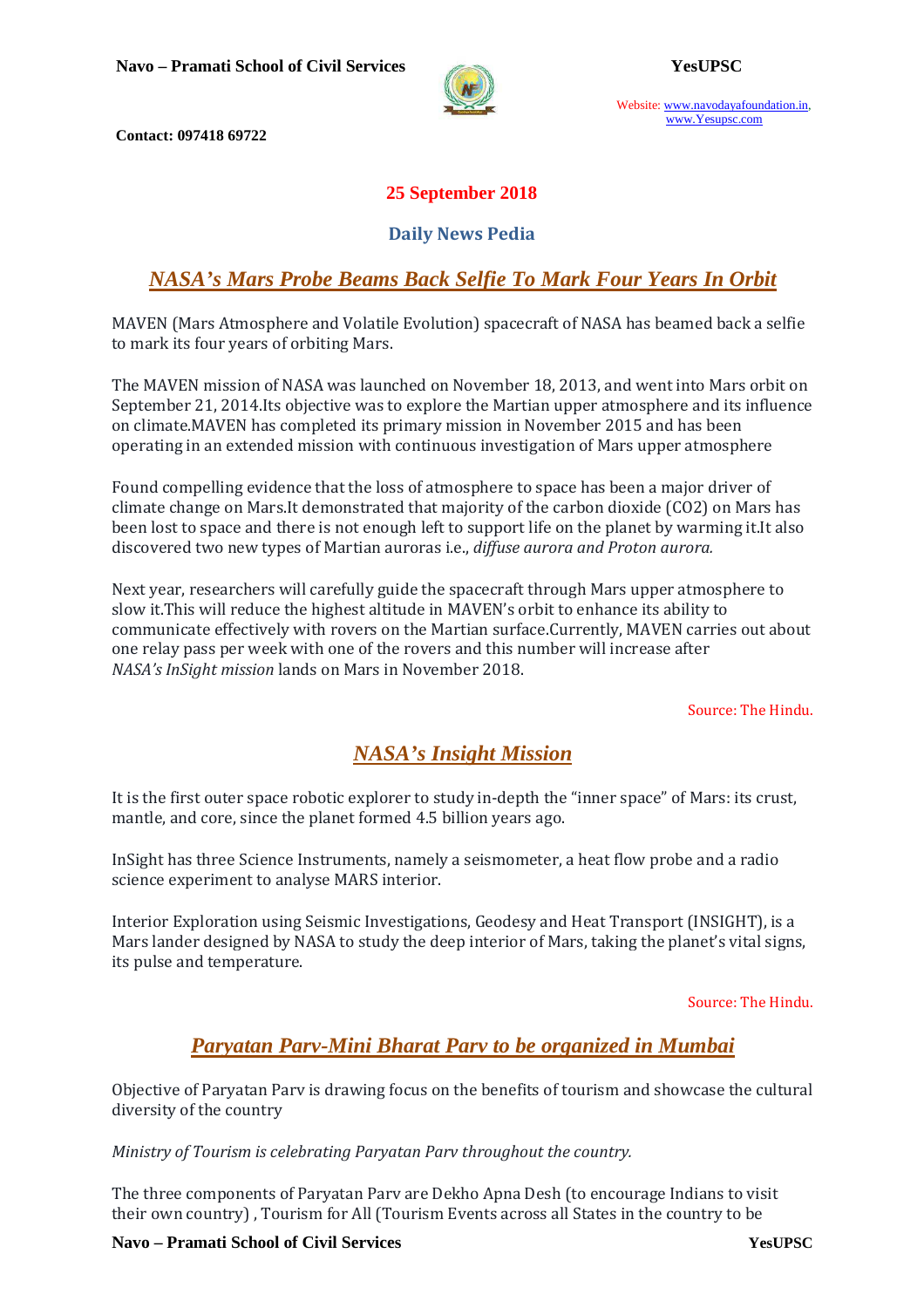

Website: www.navodayafoundation.in, www.Yesupsc.com

 **Contact: 097418 69722** 

## **25 September 2018**

### **Daily News Pedia**

# *NASA's Mars Probe Beams Back Selfie To Mark Four Years In Orbit*

MAVEN (Mars Atmosphere and Volatile Evolution) spacecraft of NASA has beamed back a selfie to mark its four years of orbiting Mars.

The MAVEN mission of NASA was launched on November 18, 2013, and went into Mars orbit on September 21, 2014.Its objective was to explore the Martian upper atmosphere and its influence on climate.MAVEN has completed its primary mission in November 2015 and has been operating in an extended mission with continuous investigation of Mars upper atmosphere

Found compelling evidence that the loss of atmosphere to space has been a major driver of climate change on Mars.It demonstrated that majority of the carbon dioxide (CO2) on Mars has been lost to space and there is not enough left to support life on the planet by warming it.It also discovered two new types of Martian auroras i.e., *diffuse aurora and Proton aurora.*

Next year, researchers will carefully guide the spacecraft through Mars upper atmosphere to slow it.This will reduce the highest altitude in MAVEN's orbit to enhance its ability to communicate effectively with rovers on the Martian surface.Currently, MAVEN carries out about one relay pass per week with one of the rovers and this number will increase after *NASA's InSight mission* lands on Mars in November 2018.

Source: The Hindu.

# *NASA's Insight Mission*

It is the first outer space robotic explorer to study in-depth the "inner space" of Mars: its crust, mantle, and core, since the planet formed 4.5 billion years ago.

InSight has three Science Instruments, namely a seismometer, a heat flow probe and a radio science experiment to analyse MARS interior.

Interior Exploration using Seismic Investigations, Geodesy and Heat Transport (INSIGHT), is a Mars lander designed by NASA to study the deep interior of Mars, taking the planet's vital signs, its pulse and temperature.

Source: The Hindu.

# *Paryatan Parv-Mini Bharat Parv to be organized in Mumbai*

Objective of Paryatan Parv is drawing focus on the benefits of tourism and showcase the cultural diversity of the country

*Ministry of Tourism is celebrating Paryatan Parv throughout the country.* 

The three components of Paryatan Parv are Dekho Apna Desh (to encourage Indians to visit their own country) , Tourism for All (Tourism Events across all States in the country to be

**Navo – Pramati School of Civil Services YesUPSC**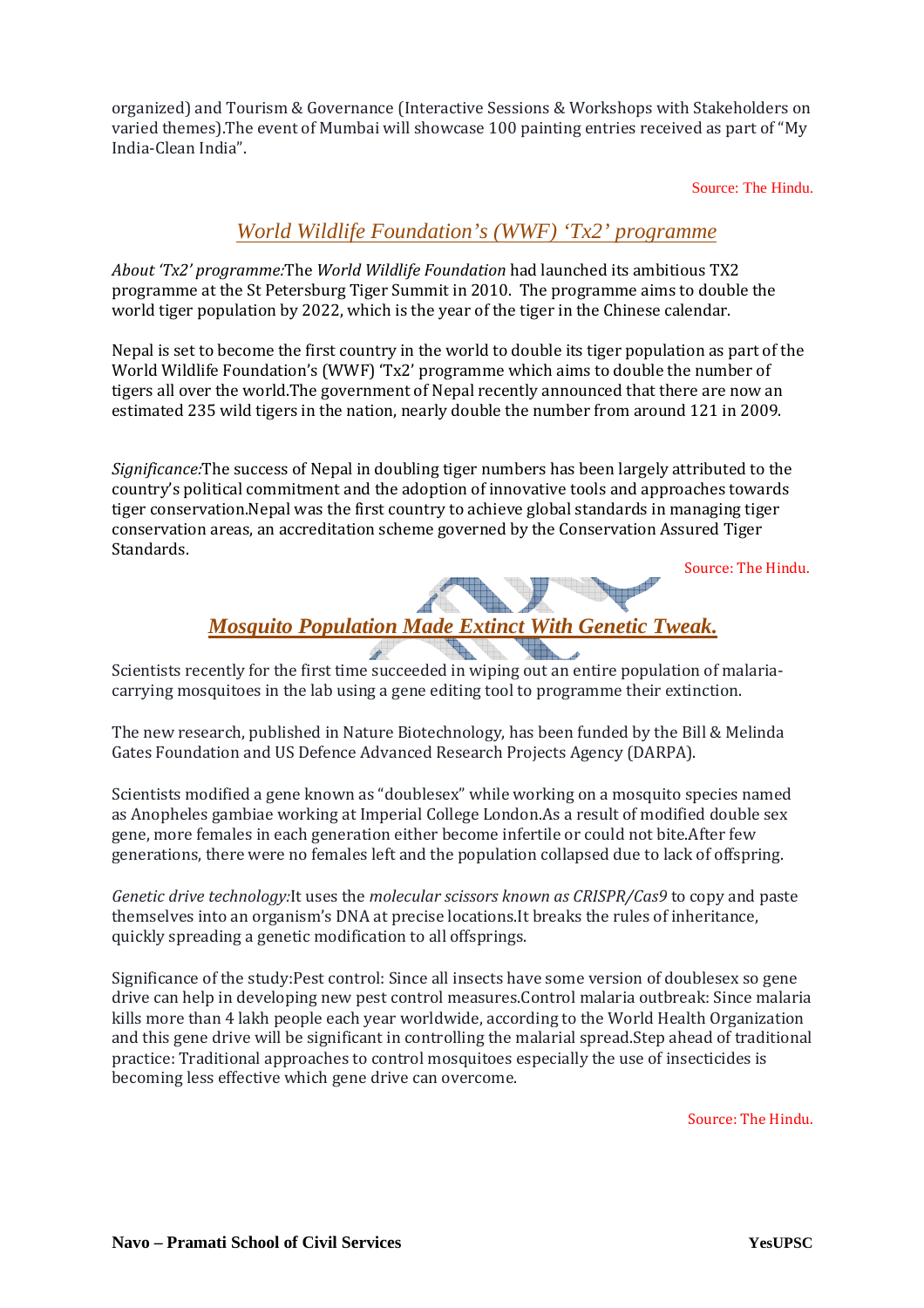organized) and Tourism & Governance (Interactive Sessions & Workshops with Stakeholders on varied themes).The event of Mumbai will showcase 100 painting entries received as part of "My India-Clean India".

Source: The Hindu.

## *World Wildlife Foundation's (WWF) 'Tx2' programme*

*About 'Tx2' programme:*The *World Wildlife Foundation* had launched its ambitious TX2 programme at the St Petersburg Tiger Summit in 2010. The programme aims to double the world tiger population by 2022, which is the year of the tiger in the Chinese calendar.

Nepal is set to become the first country in the world to double its tiger population as part of the World Wildlife Foundation's (WWF) 'Tx2' programme which aims to double the number of tigers all over the world.The government of Nepal recently announced that there are now an estimated 235 wild tigers in the nation, nearly double the number from around 121 in 2009.

*Significance:*The success of Nepal in doubling tiger numbers has been largely attributed to the country's political commitment and the adoption of innovative tools and approaches towards tiger conservation.Nepal was the first country to achieve global standards in managing tiger conservation areas, an accreditation scheme governed by the Conservation Assured Tiger Standards.

Source: The Hindu.

# *Mosquito Population Made Extinct With Genetic Tweak.*

Scientists recently for the first time succeeded in wiping out an entire population of malariacarrying mosquitoes in the lab using a gene editing tool to programme their extinction.

The new research, published in Nature Biotechnology, has been funded by the Bill & Melinda Gates Foundation and US Defence Advanced Research Projects Agency (DARPA).

Scientists modified a gene known as "doublesex" while working on a mosquito species named as Anopheles gambiae working at Imperial College London.As a result of modified double sex gene, more females in each generation either become infertile or could not bite.After few generations, there were no females left and the population collapsed due to lack of offspring.

*Genetic drive technology:*It uses the *molecular scissors known as CRISPR/Cas9* to copy and paste themselves into an organism's DNA at precise locations.It breaks the rules of inheritance, quickly spreading a genetic modification to all offsprings.

Significance of the study:Pest control: Since all insects have some version of doublesex so gene drive can help in developing new pest control measures.Control malaria outbreak: Since malaria kills more than 4 lakh people each year worldwide, according to the World Health Organization and this gene drive will be significant in controlling the malarial spread.Step ahead of traditional practice: Traditional approaches to control mosquitoes especially the use of insecticides is becoming less effective which gene drive can overcome.

Source: The Hindu.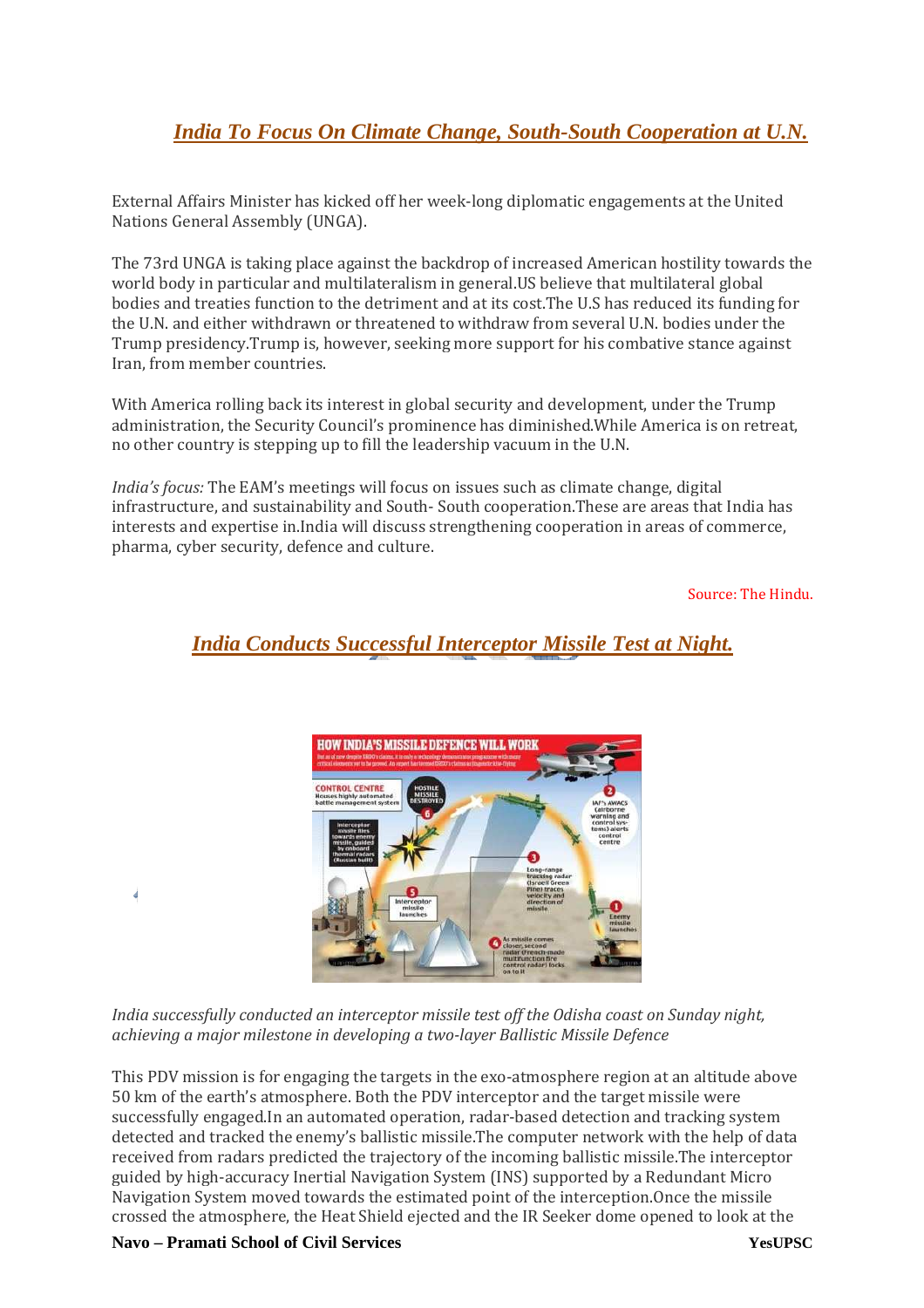# *India To Focus On Climate Change, South-South Cooperation at U.N.*

External Affairs Minister has kicked off her week-long diplomatic engagements at the United Nations General Assembly (UNGA).

The 73rd UNGA is taking place against the backdrop of increased American hostility towards the world body in particular and multilateralism in general.US believe that multilateral global bodies and treaties function to the detriment and at its cost.The U.S has reduced its funding for the U.N. and either withdrawn or threatened to withdraw from several U.N. bodies under the Trump presidency.Trump is, however, seeking more support for his combative stance against Iran, from member countries.

With America rolling back its interest in global security and development, under the Trump administration, the Security Council's prominence has diminished.While America is on retreat, no other country is stepping up to fill the leadership vacuum in the U.N.

*India's focus:* The EAM's meetings will focus on issues such as climate change, digital infrastructure, and sustainability and South- South cooperation.These are areas that India has interests and expertise in.India will discuss strengthening cooperation in areas of commerce, pharma, cyber security, defence and culture.

Source: The Hindu.



# *India Conducts Successful Interceptor Missile Test at Night.*

*India successfully conducted an interceptor missile test off the Odisha coast on Sunday night, achieving a major milestone in developing a two-layer Ballistic Missile Defence* 

This PDV mission is for engaging the targets in the exo-atmosphere region at an altitude above 50 km of the earth's atmosphere. Both the PDV interceptor and the target missile were successfully engaged.In an automated operation, radar-based detection and tracking system detected and tracked the enemy's ballistic missile.The computer network with the help of data received from radars predicted the trajectory of the incoming ballistic missile.The interceptor guided by high-accuracy Inertial Navigation System (INS) supported by a Redundant Micro Navigation System moved towards the estimated point of the interception.Once the missile crossed the atmosphere, the Heat Shield ejected and the IR Seeker dome opened to look at the

**Navo – Pramati School of Civil Services YesUPSC**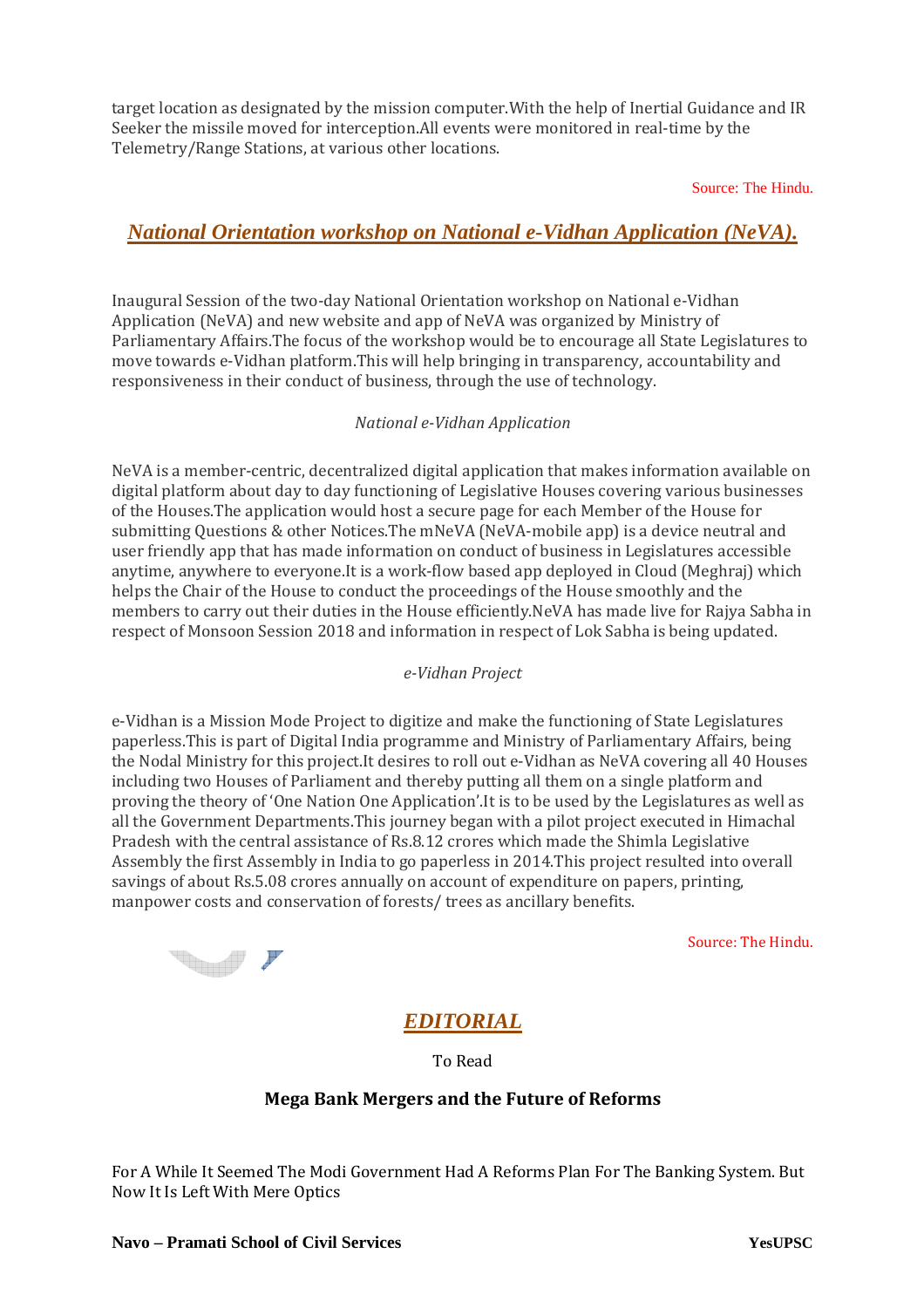target location as designated by the mission computer.With the help of Inertial Guidance and IR Seeker the missile moved for interception.All events were monitored in real-time by the Telemetry/Range Stations, at various other locations.

Source: The Hindu.

## *National Orientation workshop on National e-Vidhan Application (NeVA).*

Inaugural Session of the two-day National Orientation workshop on National e-Vidhan Application (NeVA) and new website and app of NeVA was organized by Ministry of Parliamentary Affairs.The focus of the workshop would be to encourage all State Legislatures to move towards e-Vidhan platform.This will help bringing in transparency, accountability and responsiveness in their conduct of business, through the use of technology.

#### *National e-Vidhan Application*

NeVA is a member-centric, decentralized digital application that makes information available on digital platform about day to day functioning of Legislative Houses covering various businesses of the Houses.The application would host a secure page for each Member of the House for submitting Questions & other Notices.The mNeVA (NeVA-mobile app) is a device neutral and user friendly app that has made information on conduct of business in Legislatures accessible anytime, anywhere to everyone.It is a work-flow based app deployed in Cloud (Meghraj) which helps the Chair of the House to conduct the proceedings of the House smoothly and the members to carry out their duties in the House efficiently.NeVA has made live for Rajya Sabha in respect of Monsoon Session 2018 and information in respect of Lok Sabha is being updated.

#### *e-Vidhan Project*

e-Vidhan is a Mission Mode Project to digitize and make the functioning of State Legislatures paperless.This is part of Digital India programme and Ministry of Parliamentary Affairs, being the Nodal Ministry for this project.It desires to roll out e-Vidhan as NeVA covering all 40 Houses including two Houses of Parliament and thereby putting all them on a single platform and proving the theory of 'One Nation One Application'.It is to be used by the Legislatures as well as all the Government Departments.This journey began with a pilot project executed in Himachal Pradesh with the central assistance of Rs.8.12 crores which made the Shimla Legislative Assembly the first Assembly in India to go paperless in 2014.This project resulted into overall savings of about Rs.5.08 crores annually on account of expenditure on papers, printing, manpower costs and conservation of forests/ trees as ancillary benefits.

**The Company of the Company of the Company of the Company of the Company of the Company of the Company of the Company of the Company of the Company of the Company of the Company of the Company of the Company of the Company** 

Source: The Hindu.

# *EDITORIAL*

To Read

#### **Mega Bank Mergers and the Future of Reforms**

For A While It Seemed The Modi Government Had A Reforms Plan For The Banking System. But Now It Is Left With Mere Optics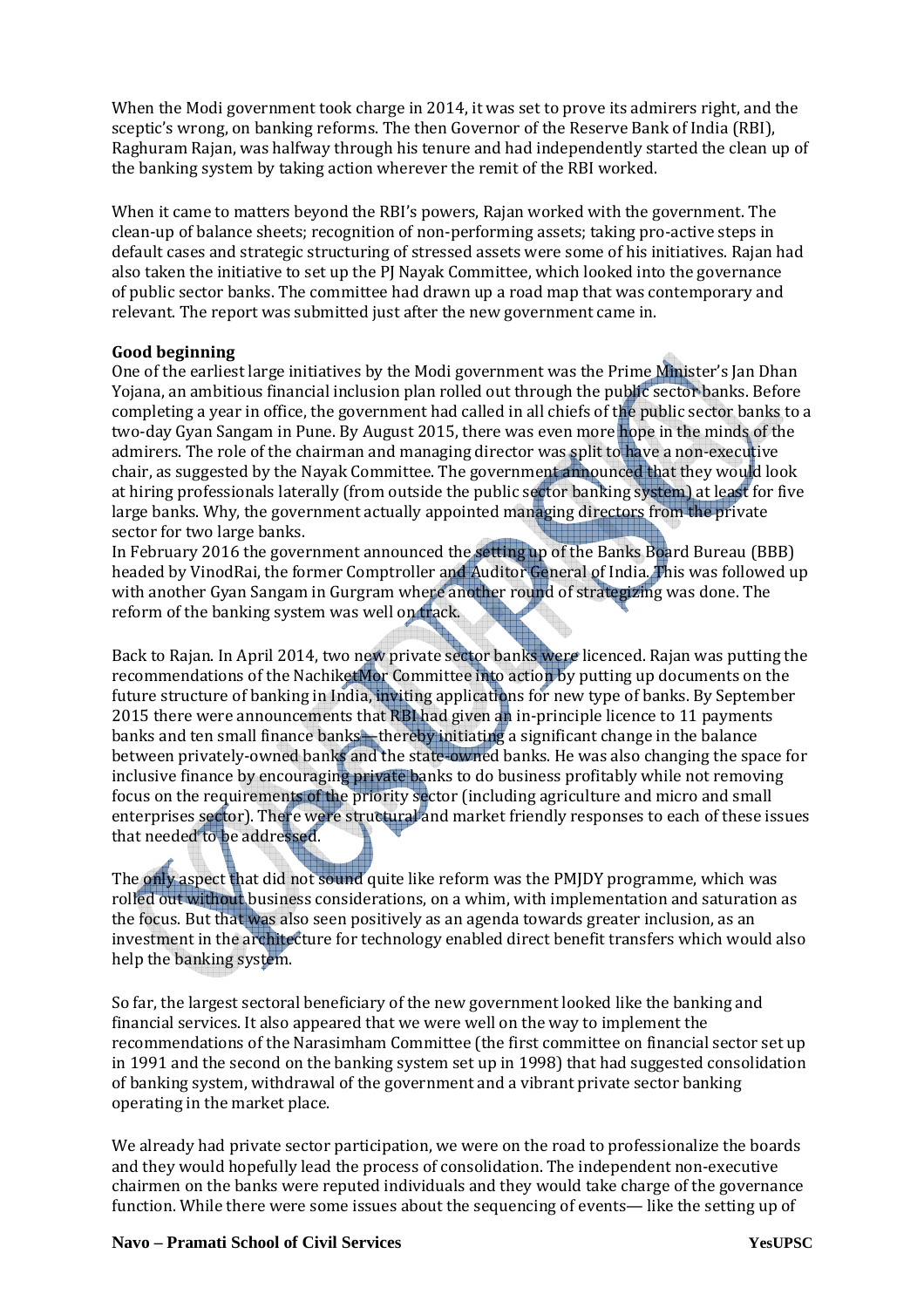When the Modi government took charge in 2014, it was set to prove its admirers right, and the sceptic's wrong, on banking reforms. The then Governor of the Reserve Bank of India (RBI), Raghuram Rajan, was halfway through his tenure and had independently started the clean up of the banking system by taking action wherever the remit of the RBI worked.

When it came to matters beyond the RBI's powers, Rajan worked with the government. The clean-up of balance sheets; recognition of non-performing assets; taking pro-active steps in default cases and strategic structuring of stressed assets were some of his initiatives. Rajan had also taken the initiative to set up the PJ Nayak Committee, which looked into the governance of public sector banks. The committee had drawn up a road map that was contemporary and relevant. The report was submitted just after the new government came in.

#### **Good beginning**

One of the earliest large initiatives by the Modi government was the Prime Minister's Jan Dhan Yojana, an ambitious financial inclusion plan rolled out through the public sector banks. Before completing a year in office, the government had called in all chiefs of the public sector banks to a two-day Gyan Sangam in Pune. By August 2015, there was even more hope in the minds of the admirers. The role of the chairman and managing director was split to have a non-executive chair, as suggested by the Nayak Committee. The government announced that they would look at hiring professionals laterally (from outside the public sector banking system) at least for five large banks. Why, the government actually appointed managing directors from the private sector for two large banks.

In February 2016 the government announced the setting up of the Banks Board Bureau (BBB) headed by VinodRai, the former Comptroller and Auditor General of India. This was followed up with another Gyan Sangam in Gurgram where another round of strategizing was done. The reform of the banking system was well on track.

Back to Rajan. In April 2014, two new private sector banks were licenced. Rajan was putting the recommendations of the NachiketMor Committee into action by putting up documents on the future structure of banking in India, inviting applications for new type of banks. By September 2015 there were announcements that RBI had given an in-principle licence to 11 payments banks and ten small finance banks—thereby initiating a significant change in the balance between privately-owned banks and the state-owned banks. He was also changing the space for inclusive finance by encouraging private banks to do business profitably while not removing focus on the requirements of the priority sector (including agriculture and micro and small enterprises sector). There were structural and market friendly responses to each of these issues that needed to be addressed.

The only aspect that did not sound quite like reform was the PMJDY programme, which was rolled out without business considerations, on a whim, with implementation and saturation as the focus. But that was also seen positively as an agenda towards greater inclusion, as an investment in the architecture for technology enabled direct benefit transfers which would also help the banking system.

So far, the largest sectoral beneficiary of the new government looked like the banking and financial services. It also appeared that we were well on the way to implement the recommendations of the Narasimham Committee (the first committee on financial sector set up in 1991 and the second on the banking system set up in 1998) that had suggested consolidation of banking system, withdrawal of the government and a vibrant private sector banking operating in the market place.

We already had private sector participation, we were on the road to professionalize the boards and they would hopefully lead the process of consolidation. The independent non-executive chairmen on the banks were reputed individuals and they would take charge of the governance function. While there were some issues about the sequencing of events— like the setting up of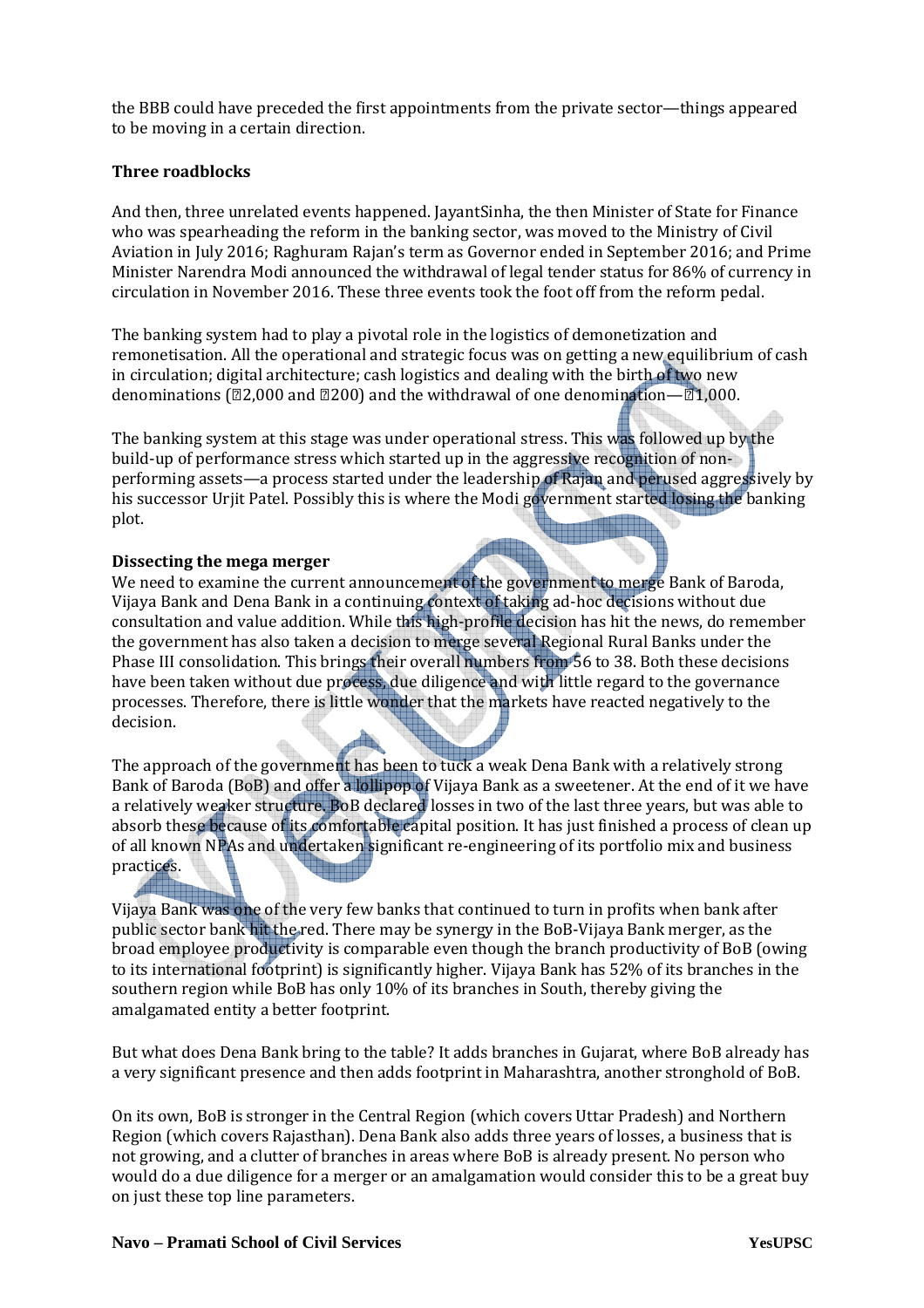the BBB could have preceded the first appointments from the private sector—things appeared to be moving in a certain direction.

#### **Three roadblocks**

And then, three unrelated events happened. JayantSinha, the then Minister of State for Finance who was spearheading the reform in the banking sector, was moved to the Ministry of Civil Aviation in July 2016; Raghuram Rajan's term as Governor ended in September 2016; and Prime Minister Narendra Modi announced the withdrawal of legal tender status for 86% of currency in circulation in November 2016. These three events took the foot off from the reform pedal.

The banking system had to play a pivotal role in the logistics of demonetization and remonetisation. All the operational and strategic focus was on getting a new equilibrium of cash in circulation; digital architecture; cash logistics and dealing with the birth of two new denominations ( $\text{22,000}$  and  $\text{2200}$ ) and the withdrawal of one denomination— $\text{21,000}$ .

The banking system at this stage was under operational stress. This was followed up by the build-up of performance stress which started up in the aggressive recognition of nonperforming assets—a process started under the leadership of Rajan and perused aggressively by his successor Urjit Patel. Possibly this is where the Modi government started losing the banking plot.

#### **Dissecting the mega merger**

Allia

We need to examine the current announcement of the government to merge Bank of Baroda, Vijaya Bank and Dena Bank in a continuing context of taking ad-hoc decisions without due consultation and value addition. While this high-profile decision has hit the news, do remember the government has also taken a decision to merge several Regional Rural Banks under the Phase III consolidation. This brings their overall numbers from 56 to 38. Both these decisions have been taken without due process, due diligence and with little regard to the governance processes. Therefore, there is little wonder that the markets have reacted negatively to the decision.

The approach of the government has been to tuck a weak Dena Bank with a relatively strong Bank of Baroda (BoB) and offer a lollipop of Vijaya Bank as a sweetener. At the end of it we have a relatively weaker structure. BoB declared losses in two of the last three years, but was able to absorb these because of its comfortable capital position. It has just finished a process of clean up of all known NPAs and undertaken significant re-engineering of its portfolio mix and business practices.

Vijaya Bank was one of the very few banks that continued to turn in profits when bank after public sector bank hit the red. There may be synergy in the BoB-Vijaya Bank merger, as the broad employee productivity is comparable even though the branch productivity of BoB (owing to its international footprint) is significantly higher. Vijaya Bank has 52% of its branches in the southern region while BoB has only 10% of its branches in South, thereby giving the amalgamated entity a better footprint.

But what does Dena Bank bring to the table? It adds branches in Gujarat, where BoB already has a very significant presence and then adds footprint in Maharashtra, another stronghold of BoB.

On its own, BoB is stronger in the Central Region (which covers Uttar Pradesh) and Northern Region (which covers Rajasthan). Dena Bank also adds three years of losses, a business that is not growing, and a clutter of branches in areas where BoB is already present. No person who would do a due diligence for a merger or an amalgamation would consider this to be a great buy on just these top line parameters.